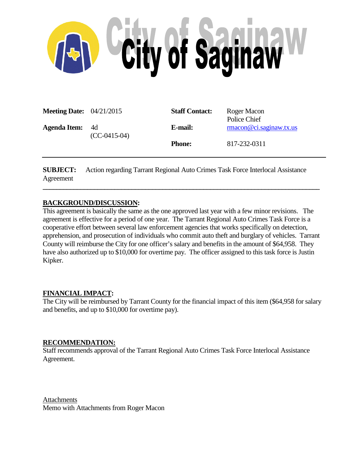

| <b>Meeting Date:</b> $04/21/2015$ |                        | <b>Staff Contact:</b> | Roger Macon<br>Police Chief |
|-----------------------------------|------------------------|-----------------------|-----------------------------|
| <b>Agenda Item:</b>               | - 4d<br>$(CC-0415-04)$ | E-mail:               | rmacon@ci.saginaw.txt.us    |
|                                   |                        | <b>Phone:</b>         | 817-232-0311                |

**SUBJECT:** Action regarding Tarrant Regional Auto Crimes Task Force Interlocal Assistance Agreement

**\_\_\_\_\_\_\_\_\_\_\_\_\_\_\_\_\_\_\_\_\_\_\_\_\_\_\_\_\_\_\_\_\_\_\_\_\_\_\_\_\_\_\_\_\_\_\_\_\_\_\_\_\_\_\_\_\_\_\_\_\_\_\_\_\_\_\_\_\_\_\_\_\_\_\_\_\_\_\_\_\_**

#### **BACKGROUND/DISCUSSION:**

This agreement is basically the same as the one approved last year with a few minor revisions. The agreement is effective for a period of one year. The Tarrant Regional Auto Crimes Task Force is a cooperative effort between several law enforcement agencies that works specifically on detection, apprehension, and prosecution of individuals who commit auto theft and burglary of vehicles. Tarrant County will reimburse the City for one officer's salary and benefits in the amount of \$64,958. They have also authorized up to \$10,000 for overtime pay. The officer assigned to this task force is Justin Kipker.

#### **FINANCIAL IMPACT:**

The City will be reimbursed by Tarrant County for the financial impact of this item (\$64,958 for salary and benefits, and up to \$10,000 for overtime pay).

#### **RECOMMENDATION:**

Staff recommends approval of the Tarrant Regional Auto Crimes Task Force Interlocal Assistance Agreement.

Attachments Memo with Attachments from Roger Macon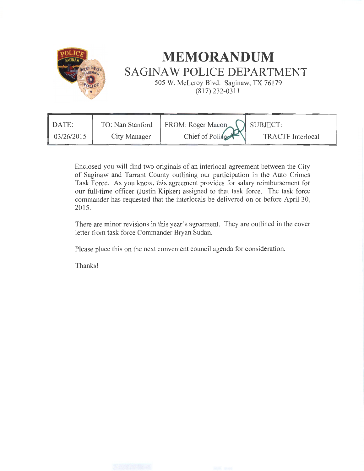

# **MEMORANDUM SAGINAW POLICE DEPARTMENT**

505 W. McLeroy Blvd. Saginaw, TX 76179 (817) 232-0311

| DATE:      | TO: Nan Stanford | FROM: Roger Macon |                          |
|------------|------------------|-------------------|--------------------------|
| 03/26/2015 | City Manager     | Chief of Police   | <b>TRACTF</b> Interlocal |

Enclosed you will find two originals of an interlocal agreement between the City of Saginaw and Tarrant County outlining our participation in the Auto Crimes Task Force. As you know, this agreement provides for salary reimbursement for our full-time officer (Justin Kipker) assigned to that task force. The task force commander has requested that the interlocals be delivered on or before April 30, 2015.

There are minor revisions in this year's agreement. They are outlined in the cover letter from task force Commander Bryan Sudan.

Please place this on the next convenient council agenda for consideration.

Thanks!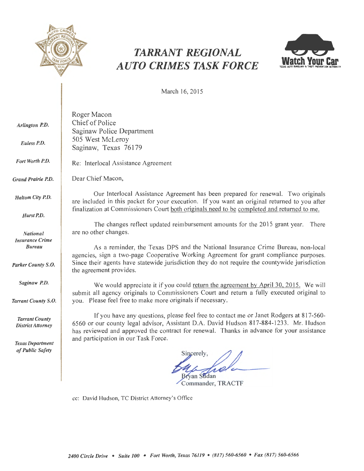

## *TARRANT REGIONAL AUTO CRIMES TASK FORCE*



March 16, 2015

| Arlington P.D.<br>Euless P.D.                                                    | Roger Macon<br>Chief of Police<br>Saginaw Police Department<br>505 West McLeroy<br>Saginaw, Texas 76179                                                                                                                                                                                                                                                                                                                |  |  |  |
|----------------------------------------------------------------------------------|------------------------------------------------------------------------------------------------------------------------------------------------------------------------------------------------------------------------------------------------------------------------------------------------------------------------------------------------------------------------------------------------------------------------|--|--|--|
| Fort Worth P.D.                                                                  | Re: Interlocal Assistance Agreement                                                                                                                                                                                                                                                                                                                                                                                    |  |  |  |
| Grand Prairie P.D.                                                               | Dear Chief Macon,                                                                                                                                                                                                                                                                                                                                                                                                      |  |  |  |
| Haltom City P.D.                                                                 | Our Interlocal Assistance Agreement has been prepared for renewal. Two originals<br>are included in this packet for your execution. If you want an original returned to you after<br>finalization at Commissioners Court both originals need to be completed and returned to me.                                                                                                                                       |  |  |  |
| Hurst P.D.                                                                       |                                                                                                                                                                                                                                                                                                                                                                                                                        |  |  |  |
| <b>National</b><br><b>Insurance Crime</b><br><b>Bureau</b><br>Parker County S.O. | The changes reflect updated reimbursement amounts for the 2015 grant year.<br>There<br>are no other changes.<br>As a reminder, the Texas DPS and the National Insurance Crime Bureau, non-local<br>agencies, sign a two-page Cooperative Working Agreement for grant compliance purposes.<br>Since their agents have statewide jurisdiction they do not require the countywide jurisdiction<br>the agreement provides. |  |  |  |
| Saginaw P.D.                                                                     | We would appreciate it if you could return the agreement by April 30, 2015. We will<br>submit all agency originals to Commissioners Court and return a fully executed original to                                                                                                                                                                                                                                      |  |  |  |
| Tarrant County S.O.                                                              | you. Please feel free to make more originals if necessary.                                                                                                                                                                                                                                                                                                                                                             |  |  |  |
| <b>Tarrant County</b><br><b>District Attorney</b>                                | If you have any questions, please feel free to contact me or Janet Rodgers at 817-560-<br>6560 or our county legal advisor, Assistant D.A. David Hudson 817-884-1233. Mr. Hudson<br>has reviewed and approved the contract for renewal. Thanks in advance for your assistance                                                                                                                                          |  |  |  |
| <b>Texas Department</b><br>of Public Safety                                      | and participation in our Task Force.<br>Sincerely,<br><b>Bryan Sudan</b>                                                                                                                                                                                                                                                                                                                                               |  |  |  |

Commander, TRACTF

cc: David Hudson, TC District Attorney's Office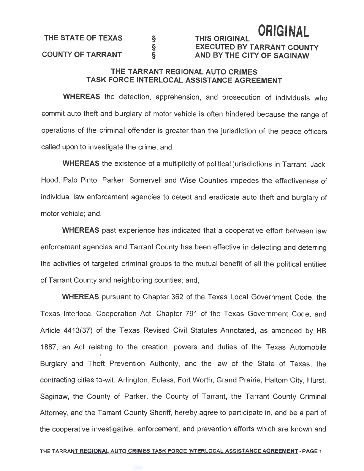THE STATE OF TEXAS

#### COUNTY OF TARRANT

## THIS ORIGINAL **ORIGINAL**  EXECUTED BY TARRANT COUNTY AND BY THE CITY OF SAGINAW

### THE TARRANT REGIONAL AUTO CRIMES TASK FORCE INTERLOCAL ASSISTANCE AGREEMENT

§ § §

WHEREAS the detection, apprehension, and prosecution of individuals who commit auto theft and burglary of motor vehicle is often hindered because the range of operations of the criminal offender is greater than the jurisdiction of the peace officers called upon to investigate the crime; and,

WHEREAS the existence of a multiplicity of political jurisdictions in Tarrant, Jack, Hood, Palo Pinto, Parker, Somervell and Wise Counties impedes the effectiveness of individual law enforcement agencies to detect and eradicate auto theft and burglary of motor vehicle; and,

WHEREAS past experience has indicated that a cooperative effort between law enforcement agencies and Tarrant County has been effective in detecting and deterring the activities of targeted criminal groups to the mutual benefit of all the political entities of Tarrant County and neighboring counties; and,

WHEREAS pursuant to Chapter 362 of the Texas Local Government Code, the Texas lnterlocal Cooperation Act, Chapter 791 of the Texas Government Code, and Article 4413(37) of the Texas Revised Civil Statutes Annotated, as amended by HB 1887, an Act relating to the creation, powers and duties of the Texas Automobile Burglary and Theft Prevention Authority, and the law of the State of Texas, the contracting cities to-wit: Arlington, Euless, Fort Worth, Grand Prairie, Haltom City, Hurst, Saginaw, the County of Parker, the County of Tarrant, the Tarrant County Criminal Attorney, and the Tarrant County Sheriff, hereby agree to participate in, and be a part of the cooperative investigative, enforcement, and prevention efforts which are known and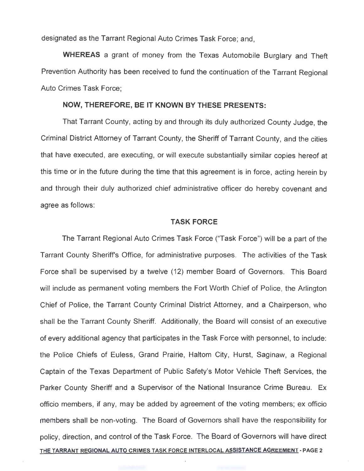designated as the Tarrant Regional Auto Crimes Task Force; and,

**WHEREAS** a grant of money from the Texas Automobile Burglary and Theft Prevention Authority has been received to fund the continuation of the Tarrant Regional Auto Crimes Task Force;

#### **NOW, THEREFORE, BE IT KNOWN BY THESE PRESENTS:**

That Tarrant County, acting by and through its duly authorized County Judge, the Criminal District Attorney of Tarrant County, the Sheriff of Tarrant County, and the cities that have executed, are executing, or will execute substantially similar copies hereof at this time or in the future during the time that this agreement is in force, acting herein by and through their duly authorized chief administrative officer do hereby covenant and agree as follows:

#### **TASK FORCE**

The Tarrant Regional Auto Crimes Task Force ("Task Force") will be a part of the Tarrant County Sheriff's Office, for administrative purposes. The activities of the Task Force shall be supervised by a twelve (12) member Board of Governors. This Board will include as permanent voting members the Fort Worth Chief of Police, the Arlington Chief of Police, the Tarrant County Criminal District Attorney, and a Chairperson, who shall be the Tarrant County Sheriff. Additionally, the Board will consist of an executive of every additional agency that participates in the Task Force with personnel, to include: the Police Chiefs of Euless, Grand Prairie, Haltom City, Hurst, Saginaw, a Regional Captain of the Texas Department of Public Safety's Motor Vehicle Theft Services, the Parker County Sheriff and a Supervisor of the National Insurance Crime Bureau. Ex officio members, if any, may be added by agreement of the voting members; ex officio members shall be non-voting. The Board of Governors shall have the responsibility for policy, direction, and control of the Task Force. The Board of Governors will have direct THE TARRANT REGIONAL AUTO CRIMES TASK FORCE INTERLOCAL ASSISTANCE AGREEMENT- PAGE 2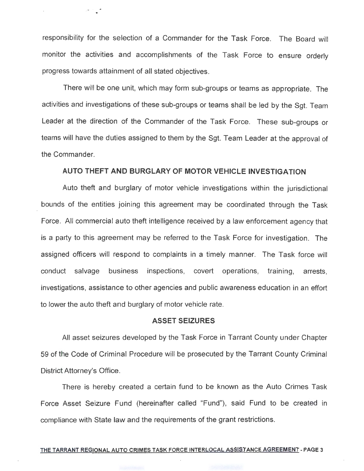responsibility for the selection of a Commander for the Task Force. The Board will monitor the activities and accomplishments of the Task Force to ensure orderly progress towards attainment of all stated objectives.

*\_ . .,: .* ~ · .

There will be one unit, which may form sub-groups or teams as appropriate. The activities and investigations of these sub-groups or teams shall be led by the Sgt. Team Leader at the direction of the Commander of the Task Force. These sub-groups or teams will have the duties assigned to them by the Sgt. Team Leader at the approval of the Commander.

### **AUTO THEFT AND BURGLARY OF MOTOR VEHICLE INVESTIGATION**

Auto theft and burglary of motor vehicle investigations within the jurisdictional bounds of the entities joining this agreement may be coordinated through the Task Force. All commercial auto theft intelligence received by a law enforcement agency that is a party to this agreement may be referred to the Task Force for investigation. The assigned officers will respond to complaints in a timely manner. The Task force will - - - - - - conduct salvage business inspections, covert operations, training, arrests, investigations, assistance to other agencies and public awareness education in an effort to lower the auto theft and burglary of motor vehicle rate.

#### **ASSET SEIZURES**

All asset seizures developed by the Task Force in Tarrant County under Chapter 59 of the Code of Criminal Procedure will be prosecuted by the Tarrant County Criminal District Attorney's Office.

There is hereby created a certain fund to be known as the Auto Crimes Task Force Asset Seizure Fund (hereinafter called "Fund"), said Fund to be created in compliance with State law and the requirements of the grant restrictions.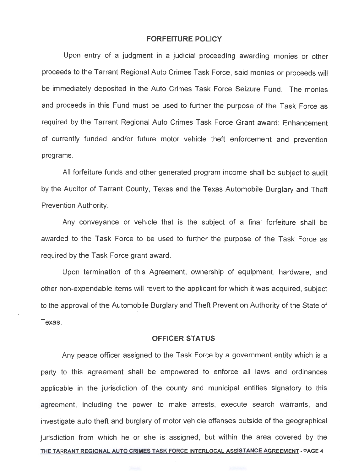#### **FORFEITURE POLICY**

Upon entry of a judgment in a judicial proceeding awarding monies or other proceeds to the Tarrant Regional Auto Crimes Task Force, said monies or proceeds will be immediately deposited in the Auto Crimes Task Force Seizure Fund. The monies and proceeds in this Fund must be used to further the purpose of the Task Force as required by the Tarrant Regional Auto Crimes Task Force Grant award: Enhancement of currently funded and/or future motor vehicle theft enforcement and prevention programs.

All forfeiture funds and other generated program income shall be subject to audit by the Auditor of Tarrant County, Texas and the Texas Automobile Burglary and Theft Prevention Authority.

Any conveyance or vehicle that is the subject of a final forfeiture shall be awarded to the Task Force to be used to further the purpose of the Task Force as required by the Task Force grant award.

-- - ~- ·- Upon termination of this Agreement, ownership of equipment, hardware, and other non-expendable items will revert to the applicant for which it was acquired, subject to the approval of the Automobile Burglary and Theft Prevention Authority of the State of Texas.

#### **OFFICER STATUS**

Any peace officer assigned to the Task Force by a government entity which is a party to this agreement shall be empowered to enforce all laws and ordinances applicable in the jurisdiction of the county and municipal entities signatory to this agreement, including the power to make arrests, execute search warrants, and investigate auto theft and burglary of motor vehicle offenses outside of the geographical jurisdiction from which he or she is assigned, but within the area covered by the THE TARRANT REGIONAL AUTO CRIMES TASK FORCE INTERLOCAL ASSISTANCE AGREEMENT - PAGE 4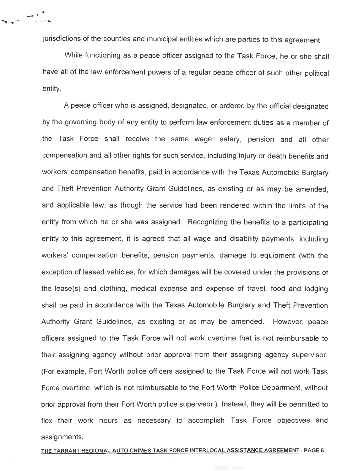jurisdictions of the counties and municipal entities which are parties to this agreement.

*\_.;,.t :* . .... ..

<sup>~</sup>...... .... . ~ 'It \_,~·~

While functioning as a peace officer assigned to the Task Force, he or she shall have all of the law enforcement powers of a regular peace officer of such other political entity.

A peace officer who is assigned, designated, or ordered by the official designated by the governing body of any entity to perform law enforcement duties as a member of the Task Force shall receive the same wage, salary, pension and all other compensation and all other rights for such service, including injury or death benefits and workers' compensation benefits, paid in accordance with the Texas Automobile Burglary and Theft Prevention Authority Grant Guidelines, as existing or as may be amended, and applicable law, as though the service had been rendered within the limits of the entity from which he or she was assigned. Recognizing the benefits to a participating entity to this agreement, it is agreed that all wage and disability payments, including workers' compensation benefits, pension payments, damage to equipment (with the exception of leased vehicles, for which damages will be covered under the provisions of the lease(s) and clothing, medical expense and expense of travel, food and lodging shall be paid in accordance with the Texas Automobile Burglary and Theft Prevention Authority Grant Guidelines, as existing or as may be amended. However, peace officers assigned to the Task Force will not work overtime that is not reimbursable to their assigning agency without prior approval from their assigning agency supervisor. (For example, Fort Worth police officers assigned to the Task Force will not work Task Force overtime, which is not reimbursable to the Fort Worth Police Department, without prior approval from their Fort Worth police supervisor.) Instead, they will be permitted to flex their work hours as necessary to accomplish Task Force objectives and assignments.

#### THE TARRANT REGIONAL AUTO CRIMES TASK FORCE INTERLOCAL ASSISTANCE AGREEMENT· PAGE 5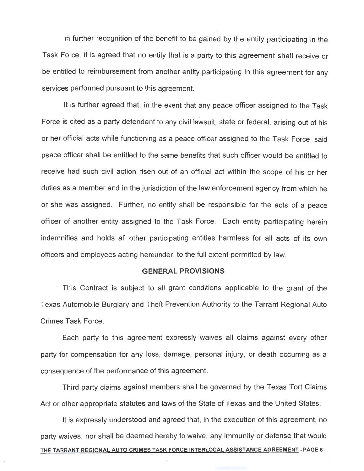In further recognition of the benefit to be gained by the entity participating in the Task Force, it is agreed that no entity that is a party to this agreement shall receive or be entitled to reimbursement from another entity participating in this agreement for any services performed pursuant to this agreement.

It is further agreed that, in the event that any peace officer assigned to the Task Force is cited as a party defendant to any civil lawsuit, state or federal, arising out of his or her official acts while functioning as a peace officer assigned to the Task Force, said peace officer shall be entitled to the same benefits that such officer would be entitled to receive had such civil action risen out of an official act within the scope of his or her duties as a member and in the jurisdiction of the law enforcement agency from which he or she was assigned. Further, no entity shall be responsible for the acts of a peace officer of another entity assigned to the Task Force. Each entity participating herein indemnifies and holds all other participating entities harmless for all acts of its own officers and employees acting hereunder, to the full extent permitted by law.

#### **GENERAL PROVISIONS**

This Contract is subject to all grant conditions applicable to the grant of the Texas Automobile Burglary and Theft Prevention Authority to the Tarrant Regional Auto Crimes Task Force.

Each party to this agreement expressly waives all claims against every other party for compensation for any loss, damage, personal injury, or death occurring as a consequence of the performance of this agreement.

Third party claims against members shall be governed by the Texas Tort Claims Act or other appropriate statutes and laws of the State of Texas and the United States.

It is expressly understood and agreed that, in the execution of this agreement, no party waives, nor shall be deemed hereby to waive, any immunity or defense that would THE TARRANT REGIONAL AUTO CRIMES TASK FORCE INTERLOCAL ASSISTANCE AGREEMENT -PAGE 6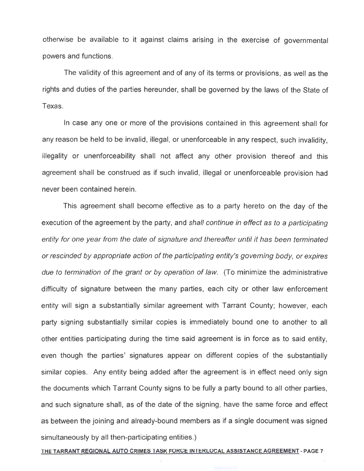otherwise be available to it against claims arising in the exercise of governmental powers and functions.

The validity of this agreement and of any of its terms or provisions, as well as the rights and duties of the parties hereunder, shall be governed by the laws of the State of Texas.

In case any one or more of the provisions contained in this agreement shall for any reason be held to be invalid, illegal, or unenforceable in any respect, such invalidity, illegality or unenforceability shall not affect any other provision thereof and this agreement shall be construed as if such invalid, illegal or unenforceable provision had never been contained herein.

This agreement shall become effective as to a party hereto on the day of the execution of the agreement by the party, and shall continue in effect as to a participating entity for one year from the date of signature and thereafter until it has been terminated or rescinded by appropriate action of the participating entity's governing body, or expires due to termination of the grant or by operation of law. (To minimize the administrative difficulty of signature between the many parties, each city or other law enforcement entity will sign a substantially similar agreement with Tarrant County; however, each party signing substantially similar copies is immediately bound one to another to all other entities participating during the time said agreement is in force as to said entity, even though the parties' signatures appear on different copies of the substantially similar copies. Any entity being added after the agreement is in effect need only sign the documents which Tarrant County signs to be fully a party bound to all other parties, and such signature shall, as of the date of the signing, have the same force and effect as between the joining and already-bound members as if a single document was signed simultaneously by all then-participating entities.)

THE TARRANT REGIONAL AUTO CRIMES TASK FORCE INTERLOCAL ASSISTANCE AGREEMENT- PAGE 7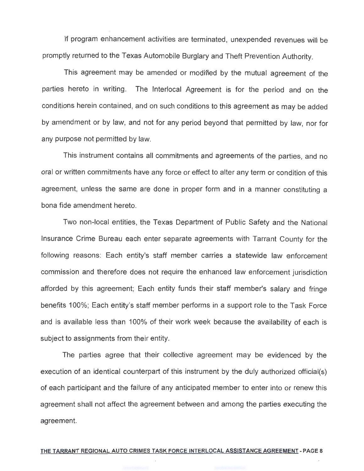If program enhancement activities are terminated, unexpended revenues will be promptly returned to the Texas Automobile Burglary and Theft Prevention Authority.

This agreement may be amended or modified by the mutual agreement of the parties hereto in writing. The lnterlocal Agreement is for the period and on the conditions herein contained, and on such conditions to this agreement as may be added by amendment or by law, and not for any period beyond that permitted by law, nor for any purpose not permitted by law.

This instrument contains all commitments and agreements of the parties, and no oral or written commitments have any force or effect to alter any term or condition of this agreement, unless the same are done in proper form and in a manner constituting a bona fide amendment hereto.

Two non-local entities, the Texas Department of Public Safety and the National Insurance Crime Bureau each enter separate agreements with Tarrant County for the following reasons: Each entity's staff member carries a statewide law enforcement commission and therefore does not require the enhanced law enforcement jurisdiction afforded by this agreement; Each entity funds their staff member's salary and fringe benefits 100%; Each entity's staff member performs in a support role to the Task Force and is available less than 100% of their work week because the availability of each is subject to assignments from their entity.

The parties agree that their collective agreement may be evidenced by the execution of an identical counterpart of this instrument by the duly authorized official(s) of each participant and the failure of any anticipated member to enter into or renew this agreement shall not affect the agreement between and among the parties executing the agreement.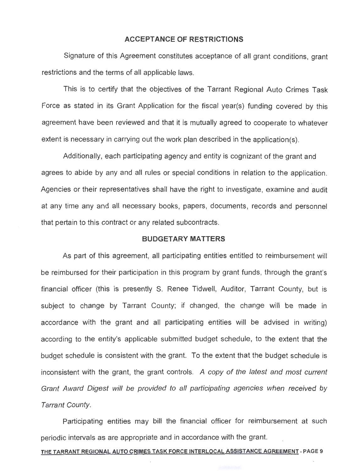#### **ACCEPTANCE OF RESTRICTIONS**

Signature of this Agreement constitutes acceptance of all grant conditions, grant restrictions and the terms of all applicable laws.

This is to certify that the objectives of the Tarrant Regional Auto Crimes Task Force as stated in its Grant Application for the fiscal year(s) funding covered by this agreement have been reviewed and that it is mutually agreed to cooperate to whatever extent is necessary in carrying out the work plan described in the application(s).

Additionally, each participating agency and entity is cognizant of the grant and agrees to abide by any and all rules or special conditions in relation to the application . Agencies or their representatives shall have the right to investigate, examine and audit at any time any and all necessary books, papers, documents, records and personnel that pertain to this contract or any related subcontracts.

#### **BUDGETARY MATTERS**

As part of this agreement, all participating entities entitled to reimbursement will be reimbursed for their participation in this program by grant funds, through the grant's financial officer (this is presently S. Renee Tidwell, Auditor, Tarrant County, but is subject to change by Tarrant County; if changed, the change will be made in accordance with the grant and all participating entities will be advised in writing) according to the entity's applicable submitted budget schedule, to the extent that the budget schedule is consistent with the grant. To the extent that the budget schedule is inconsistent with the grant, the grant controls. A copy of the latest and most current Grant Award Digest will be provided to all participating agencies when received by Tarrant County.

Participating entities may bill the financial officer for reimbursement at such periodic intervals as are appropriate and in accordance with the grant.

#### THE TARRANT REGIONAL AUTO CRIMES TASK FORCE INTERLOCAL ASSISTANCE AGREEMENT - PAGE 9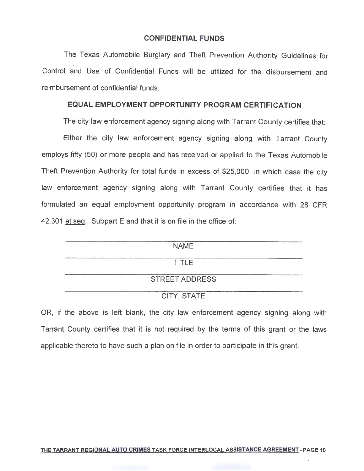#### **CONFIDENTIAL FUNDS**

The Texas Automobile Burglary and Theft Prevention Authority Guidelines for ' Control and Use of Confidential Funds will be utilized for the disbursement and reimbursement of confidential funds.

#### **EQUAL EMPLOYMENT OPPORTUNITY PROGRAM CERTIFICATION**

The city law enforcement agency signing along with Tarrant County certifies that:

Either the city law enforcement agency signing along with Tarrant County employs fifty (50) or more people and has received or applied to the Texas Automobile Theft Prevention Authority for total funds in excess of \$25,000, in which case the city law enforcement agency signing along with Tarrant County certifies that it has formulated an equal employment opportunity program in accordance with 28 CFR 42.301 et seq., Subpart E and that it is on file in the office of:

| <b>NAME</b>           |  |
|-----------------------|--|
| <b>TITLE</b>          |  |
| <b>STREET ADDRESS</b> |  |
| CITY, STATE           |  |

OR, if the above is left blank, the city law enforcement agency signing along with Tarrant County certifies that it is not required by the terms of this grant or the laws applicable thereto to have such a plan on file in order to participate in this grant.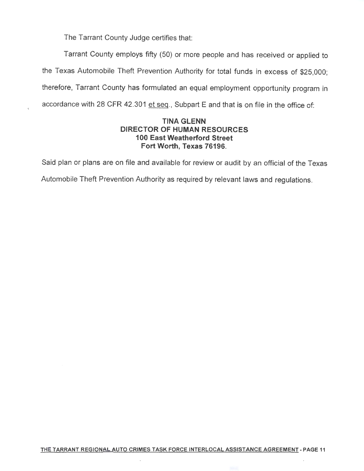The Tarrant County Judge certifies that:

Tarrant County employs fifty (50) or more people and has received or applied to the Texas Automobile Theft Prevention Authority for total funds in excess of \$25,000; therefore, Tarrant County has formulated an equal employment opportunity program in accordance with 28 CFR 42.301 et seq., Subpart E and that is on file in the office of:

#### **TINA GLENN DIRECTOR OF HUMAN RESOURCES 1 00 East Weatherford Street Fort Worth, Texas 76196.**

Said plan or plans are on file and available for review or audit by an official of the Texas

Automobile Theft Prevention Authority as required by relevant laws and regulations.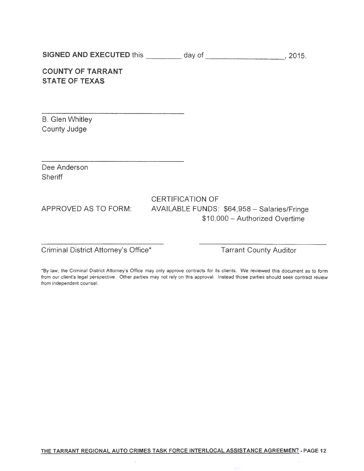SIGNED AND EXECUTED this \_\_\_\_\_\_\_\_\_ day of \_\_\_\_\_\_\_\_\_\_\_\_\_\_\_\_\_\_\_\_\_\_\_, 2015.

## COUNTY OF TARRANT STATE OF TEXAS

B. Glen Whitley County Judge

Dee Anderson **Sheriff** 

## CERTIFICATION OF APPROVED AS TO FORM: AVAILABLE FUNDS: \$64,958 - Salaries/Fringe \$10,000 - Authorized Overtime

Criminal District Attorney's Office\* Tarrant County Auditor

\*By law, the Criminal District Attorney's Office may only approve contracts for its clients. We reviewed this document as to form from our client's legal perspective. Other parties may not rely on this approval. Instead those parties should seek contract review from independent counsel.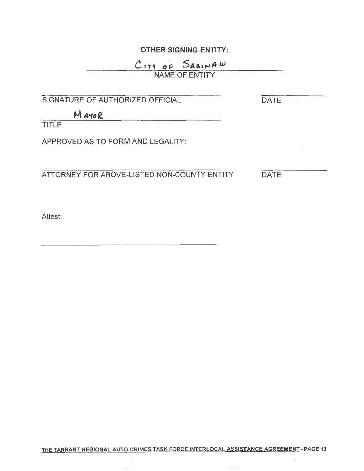## **OTHER SIGNING ENTITY:**

## $C$ <sub>177</sub> of SA41NAW NAME OF ENTITY

SIGNATURE OF AUTHORIZED OFFICIAL

**DATE** 

**M** *A"tof..* 

**TITLE** 

APPROVED AS TO FORM AND LEGALITY:

ATTORNEY FOR ABOVE-LISTED NON-COUNTY ENTITY DATE

Attest: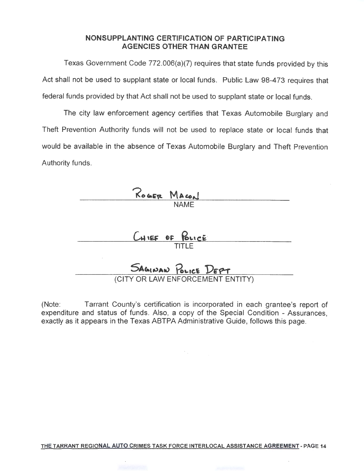#### **NONSUPPLANTING CERTIFICATION OF PARTICIPATING AGENCIES OTHER THAN GRANTEE**

Texas Government Code 772.006(a)(7) requires that state funds provided by this Act shall not be used to supplant state or local funds. Public Law 98-473 requires that federal funds provided by that Act shall not be used to supplant state or local funds.

The city law enforcement agency certifies that Texas Automobile Burglary and Theft Prevention Authority funds will not be used to replace state or local funds that would be available in the absence of Texas Automobile Burglary and Theft Prevention Authority funds.

| ROGER MACON                      |
|----------------------------------|
| <b>NAME</b>                      |
|                                  |
| CHIEF OF POLICE                  |
| <b>TITLE</b>                     |
| SAGINAN POLICE DEPT              |
| (CITY OR LAW ENFORCEMENT ENTITY) |

(Note: Tarrant County's certification is incorporated in each grantee's report of expenditure and status of funds. Also, a copy of the Special Condition - Assurances, exactly as it appears in the Texas ABTPA Administrative Guide, follows this page.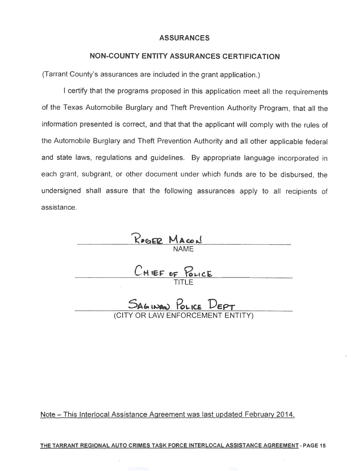#### **ASSURANCES**

#### **NON-COUNTY ENTITY ASSURANCES CERTIFICATION**

(Tarrant County's assurances are included in the grant application.)

I certify that the programs proposed in this application meet all the requirements of the Texas Automobile Burglary and Theft Prevention Authority Program, that all the information presented is correct, and that that the applicant will comply with the rules of the Automobile Burglary and Theft Prevention Authority and all other applicable federal and state laws, regulations and guidelines. By appropriate language incorporated in each grant, subgrant, or other document under which funds are to be disbursed, the undersigned shall assure that the following assurances apply to all recipients of assistance.

NAME TITLE SAGINAN POLICE DEPT

Note- This lnterlocal Assistance Agreement was last updated February 2014.

THE TARRANT REGIONAL AUTO CRIMES TASK FORCE INTERLOCAL ASSISTANCE AGREEMENT - PAGE 15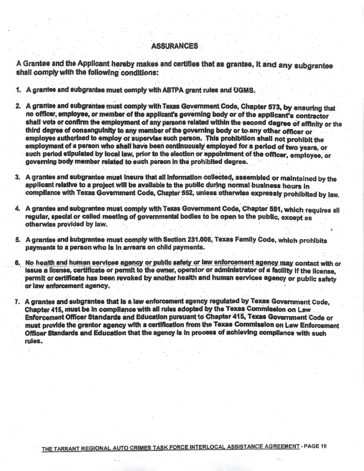#### ASSURANCES

A Grantee and the Applicant hereby makes and certifies that as grantee, it and any subgrantee shall comply with the following conditions:

1. A grantee and subgrantee must comply with ABTPA grant rules and UGMS.

- 2. A grantee and subgrantee must comply with Texas Government Code, Chapter 573, by ensuring that no officer, employee, or member of the applicant's governing body or of the applicant's contractor . shall vote or confirm the employment of any persons related within the second degree of affinity or the third degree of consanguinity to any member of the governing body or to any other officer or employee authorized to employ or supervise such person. This prohibition shall not prohibit the employment of a person who shall have been continuously employed for a period of two years, or such period stipulated by local law, prior to the election or appointment of the officer, employee, or governing body member related to such person in the prohibited degree.
- 3. A grantee and subgrantee must insure that all information collected, assembled or maintained by the applicant relative to a project will be available to the public during normal-business hours in compliance with Texas Government Code, Chapter 552, unless otherwise expressly prohibited by law.
- 4. A grantee and subgrantee must comply with Texas Government Code, Chapter 551, which requires all regular, special or called meeting of governmental bodies to be open to the public, except as otherwise provided by law.
- 5. A grantee and subgrantee must comply with Section 231.006, Texas Family Code, which prohibits payments to a person who is in arrears on child payments.
- 6. No health and human services agency or public safety or law enforcement agency may contact with orissue a license, certificate or permit to the owner, operator or administrator of a facility if the license, . perrnlt or certificate has been revoked by another health and human services agency or public safety or law enforcement agency.
- 7. A grantee and subgrantee that is a law enforcement agency regulated by Texas Government Code. Chapter 415, must be In compliance with all rules adopted by the Texas Commission on Law Enforcement Officer Standards and Education pursuant to Chapter 415, Texas Government Code or must provide the grantor agency with a certification from the Texas Commission on law Enforcement Officer Standards and Education that the agency-is in process of achieving compliance with such rules.

THE TARRANT REGIONAL AUTO CRIMES TASK FORCE INTERLOCAL ASSISTANCE AGREEMENT- PAGE 16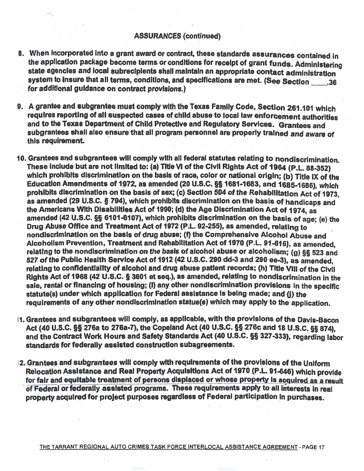- 8. When incorporated into a grant award or contract, these standards assurances contained in the application package become terms or conditions for receipt of grant funds. Administering state agencies and local subrecipients shall maintain an appropriate contact administration system to insure that all terms, conditions, and specifications are met. (See Section \_\_\_\_.36 for additional guidance on contract provisions.)
- . . . 9. A grantee and subgrantee must·comply with the Texas Family Code, Section 261.101 which requires reporting of all suspected cases of child abuse to local law enforcement authorities and to the Texas Department of Child Protective and Regulatory Services. Grantees and subgrantees shall also ensure that all program personnel are properly trained and aware of this requirement.
- 10. Grantees and subgrantees will comply with all federal statutes relating to nondiscrimination. These include but are not limited to: (a) Title VI of the Civil Rights Act of 1964 (P.L. 88-352) which prohibits discrimination on the basis of race, color or national origin; (b) Title IX of the Education Amendments of 1972, as amended (20 U.S.C. §§ 1681-1683, and 1685-1686), which prohibits discrimination on the basis of sex; (c) Section 504 of the Rehabilitation Act of 1973, as amended (29 U.S.C. § 794), which prohibits discrimination on the basis of handicaps and the Americans With Disabilities Act of 1990; (d) the Age Discrimination Act of 1974, as amended (42 u.s.c. §§ 6101-6107), which prohibits discrimination on the basis of age; (e) the Drug Abuse Office and Treatment Act of 1972 (P.L. 92-255), as amended, relating to nondiscrimination on the basis of drug abuse; (f) the Comprehensive Alcohol Abuse and Alcoholism Prevention, Treatment and Rehabilitation Act of 1970 (P.L. 91-616), as amended, relating to the nondiscrimination on the basis of alcohol abuse or alcoholism; (g) §§ 523 and 527 of the Public Health Service Act of 1912 (42 U.S.C. 290 dd-3 and 290 ee-3), as amended. relating to confidentiality of alcohol and drug abuse patient records; (h) Title VIII of the Civil Rights Act of 1968 (42 U.S.C. § 3601 et seq.), as amended, relating to nondiscrimination in the sale, rental or financing of housing; (I) any other nondiscrimination provisions in the specific statute(s) under which application for Federal assistance is being made; and (i) the requirements of any other nondiscrimination statue(s) which may apply to the application.
- 11. Grantees and subgrantees will comply, as applicable, with the provisions of the Davis-Bacon Act (40 U.S.C. §§ 276a to 276a-7), the Copeland Act (40 U.S.C. §§ 276c and 18 U.S.C. §§ 874). and the Contract Work Hours and Safety Standards Act (40 U.S.C. §§ 327 -333), regarding labor standards for federally assisted construction subagreements.
- 12. Grantees and subgrantees will comply with requirements of the provisions of the Uniform Relocation Assistance and Real Property Acquisitions Act of 1970 (P.L. 91-646) which provide for fair and equitable-treatment of persons displaced or whose property is acquired as a result of Federal or federally assisted programs. These requirements apply to all interests in real property acquired for project purposes regardless of Federal participation in purchases.